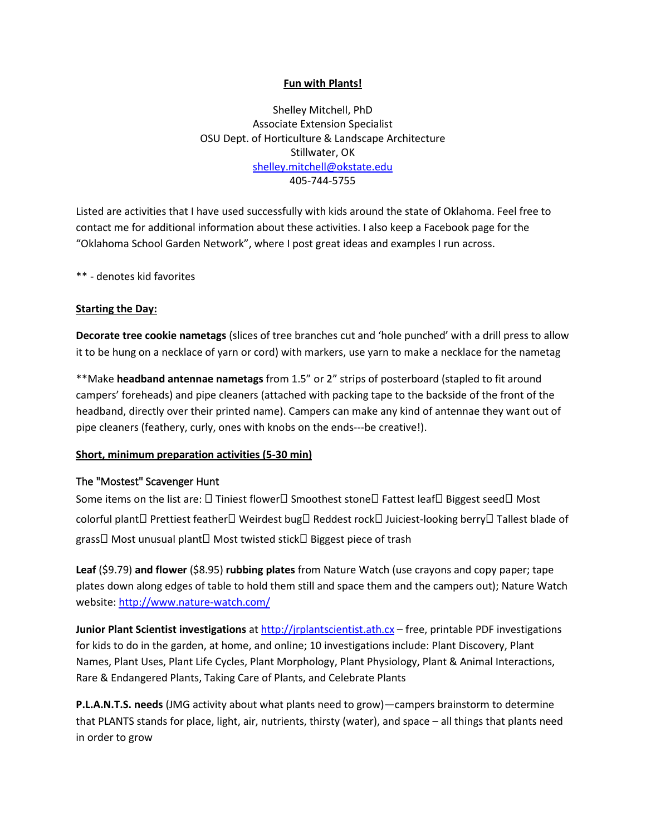### **Fun with Plants!**

Shelley Mitchell, PhD Associate Extension Specialist OSU Dept. of Horticulture & Landscape Architecture Stillwater, OK [shelley.mitchell@okstate.edu](mailto:shelley.mitchell@okstate.edu) 405-744-5755

Listed are activities that I have used successfully with kids around the state of Oklahoma. Feel free to contact me for additional information about these activities. I also keep a Facebook page for the "Oklahoma School Garden Network", where I post great ideas and examples I run across.

\*\* - denotes kid favorites

#### **Starting the Day:**

**Decorate tree cookie nametags** (slices of tree branches cut and 'hole punched' with a drill press to allow it to be hung on a necklace of yarn or cord) with markers, use yarn to make a necklace for the nametag

\*\*Make **headband antennae nametags** from 1.5" or 2" strips of posterboard (stapled to fit around campers' foreheads) and pipe cleaners (attached with packing tape to the backside of the front of the headband, directly over their printed name). Campers can make any kind of antennae they want out of pipe cleaners (feathery, curly, ones with knobs on the ends---be creative!).

### **Short, minimum preparation activities (5-30 min)**

### The "Mostest" Scavenger Hunt

Some items on the list are:  $\Box$  Tiniest flower  $\Box$  Smoothest stone  $\Box$  Fattest leaf  $\Box$  Biggest seed  $\Box$  Most colorful plant□ Prettiest feather□ Weirdest bug□ Reddest rock□ Juiciest-looking berry□ Tallest blade of grass $\Box$  Most unusual plant $\Box$  Most twisted stick $\Box$  Biggest piece of trash

**Leaf** (\$9.79) **and flower** (\$8.95) **rubbing plates** from Nature Watch (use crayons and copy paper; tape plates down along edges of table to hold them still and space them and the campers out); Nature Watch website[: http://www.nature-watch.com/](http://www.nature-watch.com/)

**Junior Plant Scientist investigations** a[t http://jrplantscientist.ath.cx](http://jrplantscientist.ath.cx/) – free, printable PDF investigations for kids to do in the garden, at home, and online; 10 investigations include: Plant Discovery, Plant Names, Plant Uses, Plant Life Cycles, Plant Morphology, Plant Physiology, Plant & Animal Interactions, Rare & Endangered Plants, Taking Care of Plants, and Celebrate Plants

**P.L.A.N.T.S. needs** (JMG activity about what plants need to grow)—campers brainstorm to determine that PLANTS stands for place, light, air, nutrients, thirsty (water), and space – all things that plants need in order to grow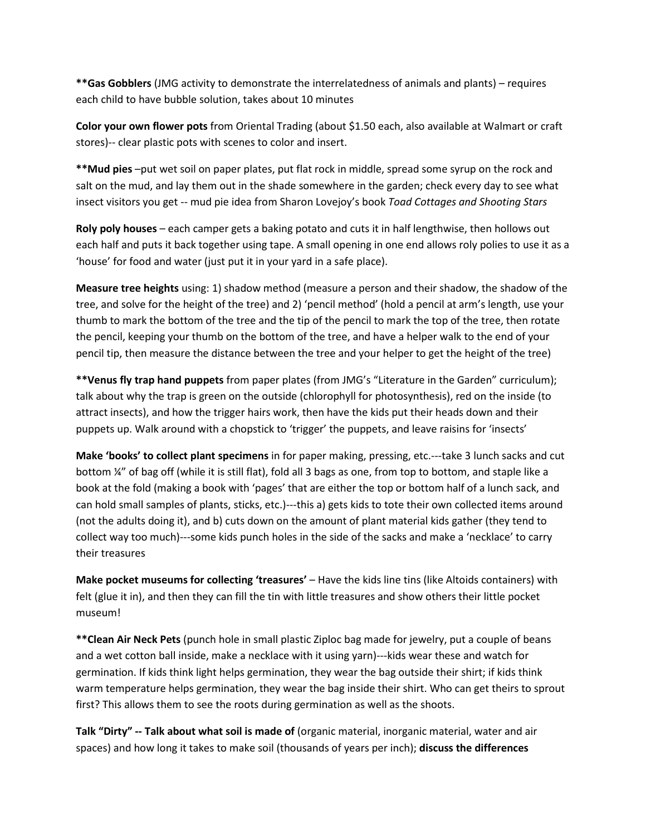**\*\*Gas Gobblers** (JMG activity to demonstrate the interrelatedness of animals and plants) – requires each child to have bubble solution, takes about 10 minutes

**Color your own flower pots** from Oriental Trading (about \$1.50 each, also available at Walmart or craft stores)-- clear plastic pots with scenes to color and insert.

**\*\*Mud pies** –put wet soil on paper plates, put flat rock in middle, spread some syrup on the rock and salt on the mud, and lay them out in the shade somewhere in the garden; check every day to see what insect visitors you get -- mud pie idea from Sharon Lovejoy's book *Toad Cottages and Shooting Stars*

**Roly poly houses** – each camper gets a baking potato and cuts it in half lengthwise, then hollows out each half and puts it back together using tape. A small opening in one end allows roly polies to use it as a 'house' for food and water (just put it in your yard in a safe place).

**Measure tree heights** using: 1) shadow method (measure a person and their shadow, the shadow of the tree, and solve for the height of the tree) and 2) 'pencil method' (hold a pencil at arm's length, use your thumb to mark the bottom of the tree and the tip of the pencil to mark the top of the tree, then rotate the pencil, keeping your thumb on the bottom of the tree, and have a helper walk to the end of your pencil tip, then measure the distance between the tree and your helper to get the height of the tree)

**\*\*Venus fly trap hand puppets** from paper plates (from JMG's "Literature in the Garden" curriculum); talk about why the trap is green on the outside (chlorophyll for photosynthesis), red on the inside (to attract insects), and how the trigger hairs work, then have the kids put their heads down and their puppets up. Walk around with a chopstick to 'trigger' the puppets, and leave raisins for 'insects'

**Make 'books' to collect plant specimens** in for paper making, pressing, etc.---take 3 lunch sacks and cut bottom ¼" of bag off (while it is still flat), fold all 3 bags as one, from top to bottom, and staple like a book at the fold (making a book with 'pages' that are either the top or bottom half of a lunch sack, and can hold small samples of plants, sticks, etc.)---this a) gets kids to tote their own collected items around (not the adults doing it), and b) cuts down on the amount of plant material kids gather (they tend to collect way too much)---some kids punch holes in the side of the sacks and make a 'necklace' to carry their treasures

**Make pocket museums for collecting 'treasures'** – Have the kids line tins (like Altoids containers) with felt (glue it in), and then they can fill the tin with little treasures and show others their little pocket museum!

**\*\*Clean Air Neck Pets** (punch hole in small plastic Ziploc bag made for jewelry, put a couple of beans and a wet cotton ball inside, make a necklace with it using yarn)---kids wear these and watch for germination. If kids think light helps germination, they wear the bag outside their shirt; if kids think warm temperature helps germination, they wear the bag inside their shirt. Who can get theirs to sprout first? This allows them to see the roots during germination as well as the shoots.

**Talk "Dirty" -- Talk about what soil is made of** (organic material, inorganic material, water and air spaces) and how long it takes to make soil (thousands of years per inch); **discuss the differences**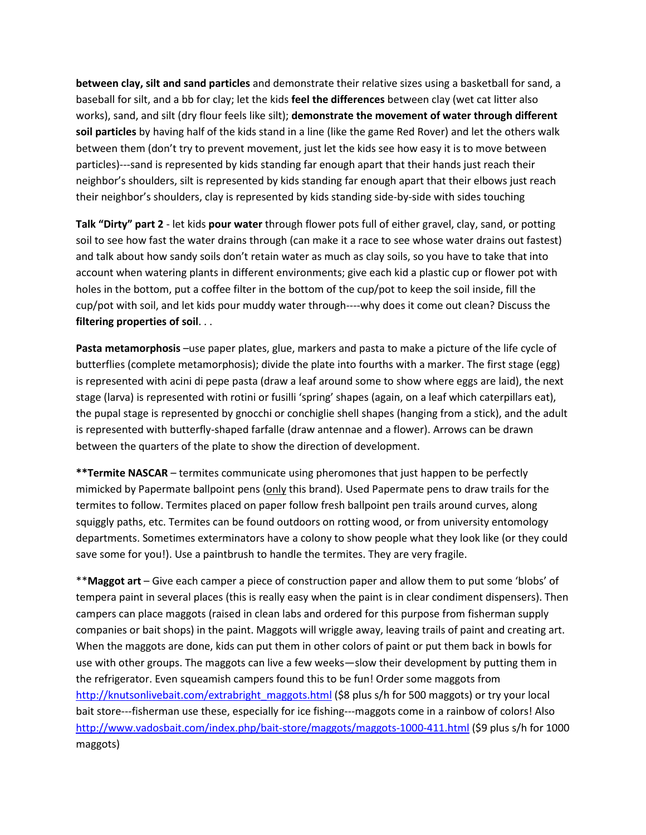**between clay, silt and sand particles** and demonstrate their relative sizes using a basketball for sand, a baseball for silt, and a bb for clay; let the kids **feel the differences** between clay (wet cat litter also works), sand, and silt (dry flour feels like silt); **demonstrate the movement of water through different soil particles** by having half of the kids stand in a line (like the game Red Rover) and let the others walk between them (don't try to prevent movement, just let the kids see how easy it is to move between particles)---sand is represented by kids standing far enough apart that their hands just reach their neighbor's shoulders, silt is represented by kids standing far enough apart that their elbows just reach their neighbor's shoulders, clay is represented by kids standing side-by-side with sides touching

**Talk "Dirty" part 2** - let kids **pour water** through flower pots full of either gravel, clay, sand, or potting soil to see how fast the water drains through (can make it a race to see whose water drains out fastest) and talk about how sandy soils don't retain water as much as clay soils, so you have to take that into account when watering plants in different environments; give each kid a plastic cup or flower pot with holes in the bottom, put a coffee filter in the bottom of the cup/pot to keep the soil inside, fill the cup/pot with soil, and let kids pour muddy water through----why does it come out clean? Discuss the **filtering properties of soil**. . .

Pasta metamorphosis -use paper plates, glue, markers and pasta to make a picture of the life cycle of butterflies (complete metamorphosis); divide the plate into fourths with a marker. The first stage (egg) is represented with acini di pepe pasta (draw a leaf around some to show where eggs are laid), the next stage (larva) is represented with rotini or fusilli 'spring' shapes (again, on a leaf which caterpillars eat), the pupal stage is represented by gnocchi or conchiglie shell shapes (hanging from a stick), and the adult is represented with butterfly-shaped farfalle (draw antennae and a flower). Arrows can be drawn between the quarters of the plate to show the direction of development.

**\*\*Termite NASCAR** – termites communicate using pheromones that just happen to be perfectly mimicked by Papermate ballpoint pens (only this brand). Used Papermate pens to draw trails for the termites to follow. Termites placed on paper follow fresh ballpoint pen trails around curves, along squiggly paths, etc. Termites can be found outdoors on rotting wood, or from university entomology departments. Sometimes exterminators have a colony to show people what they look like (or they could save some for you!). Use a paintbrush to handle the termites. They are very fragile.

\*\***Maggot art** – Give each camper a piece of construction paper and allow them to put some 'blobs' of tempera paint in several places (this is really easy when the paint is in clear condiment dispensers). Then campers can place maggots (raised in clean labs and ordered for this purpose from fisherman supply companies or bait shops) in the paint. Maggots will wriggle away, leaving trails of paint and creating art. When the maggots are done, kids can put them in other colors of paint or put them back in bowls for use with other groups. The maggots can live a few weeks—slow their development by putting them in the refrigerator. Even squeamish campers found this to be fun! Order some maggots from [http://knutsonlivebait.com/extrabright\\_maggots.html](http://knutsonlivebait.com/extrabright_maggots.html) (\$8 plus s/h for 500 maggots) or try your local bait store---fisherman use these, especially for ice fishing---maggots come in a rainbow of colors! Also <http://www.vadosbait.com/index.php/bait-store/maggots/maggots-1000-411.html> (\$9 plus s/h for 1000 maggots)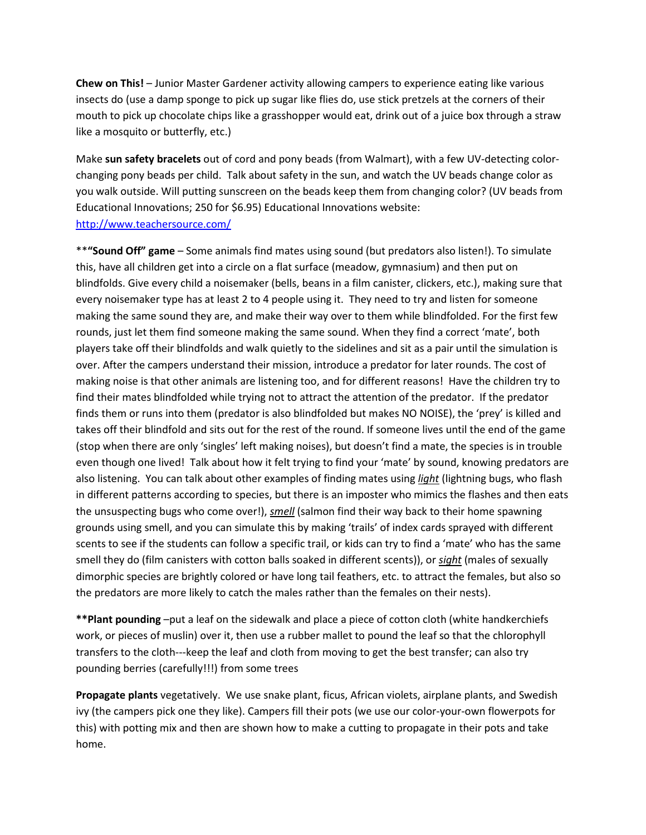**Chew on This!** – Junior Master Gardener activity allowing campers to experience eating like various insects do (use a damp sponge to pick up sugar like flies do, use stick pretzels at the corners of their mouth to pick up chocolate chips like a grasshopper would eat, drink out of a juice box through a straw like a mosquito or butterfly, etc.)

Make **sun safety bracelets** out of cord and pony beads (from Walmart), with a few UV-detecting colorchanging pony beads per child. Talk about safety in the sun, and watch the UV beads change color as you walk outside. Will putting sunscreen on the beads keep them from changing color? (UV beads from Educational Innovations; 250 for \$6.95) Educational Innovations website: <http://www.teachersource.com/>

\*\***"Sound Off" game** – Some animals find mates using sound (but predators also listen!). To simulate this, have all children get into a circle on a flat surface (meadow, gymnasium) and then put on blindfolds. Give every child a noisemaker (bells, beans in a film canister, clickers, etc.), making sure that every noisemaker type has at least 2 to 4 people using it. They need to try and listen for someone making the same sound they are, and make their way over to them while blindfolded. For the first few rounds, just let them find someone making the same sound. When they find a correct 'mate', both players take off their blindfolds and walk quietly to the sidelines and sit as a pair until the simulation is over. After the campers understand their mission, introduce a predator for later rounds. The cost of making noise is that other animals are listening too, and for different reasons! Have the children try to find their mates blindfolded while trying not to attract the attention of the predator. If the predator finds them or runs into them (predator is also blindfolded but makes NO NOISE), the 'prey' is killed and takes off their blindfold and sits out for the rest of the round. If someone lives until the end of the game (stop when there are only 'singles' left making noises), but doesn't find a mate, the species is in trouble even though one lived! Talk about how it felt trying to find your 'mate' by sound, knowing predators are also listening. You can talk about other examples of finding mates using *light* (lightning bugs, who flash in different patterns according to species, but there is an imposter who mimics the flashes and then eats the unsuspecting bugs who come over!), *smell* (salmon find their way back to their home spawning grounds using smell, and you can simulate this by making 'trails' of index cards sprayed with different scents to see if the students can follow a specific trail, or kids can try to find a 'mate' who has the same smell they do (film canisters with cotton balls soaked in different scents)), or *sight* (males of sexually dimorphic species are brightly colored or have long tail feathers, etc. to attract the females, but also so the predators are more likely to catch the males rather than the females on their nests).

**\*\*Plant pounding** –put a leaf on the sidewalk and place a piece of cotton cloth (white handkerchiefs work, or pieces of muslin) over it, then use a rubber mallet to pound the leaf so that the chlorophyll transfers to the cloth---keep the leaf and cloth from moving to get the best transfer; can also try pounding berries (carefully!!!) from some trees

**Propagate plants** vegetatively. We use snake plant, ficus, African violets, airplane plants, and Swedish ivy (the campers pick one they like). Campers fill their pots (we use our color-your-own flowerpots for this) with potting mix and then are shown how to make a cutting to propagate in their pots and take home.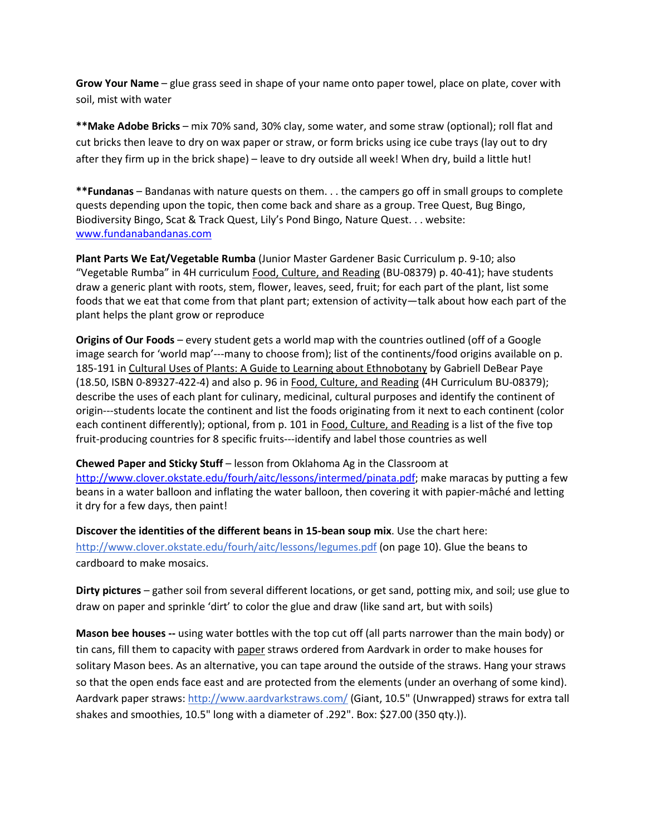**Grow Your Name** – glue grass seed in shape of your name onto paper towel, place on plate, cover with soil, mist with water

**\*\*Make Adobe Bricks** – mix 70% sand, 30% clay, some water, and some straw (optional); roll flat and cut bricks then leave to dry on wax paper or straw, or form bricks using ice cube trays (lay out to dry after they firm up in the brick shape) – leave to dry outside all week! When dry, build a little hut!

**\*\*Fundanas** – Bandanas with nature quests on them. . . the campers go off in small groups to complete quests depending upon the topic, then come back and share as a group. Tree Quest, Bug Bingo, Biodiversity Bingo, Scat & Track Quest, Lily's Pond Bingo, Nature Quest. . . website: [www.fundanabandanas.com](http://www.fundanabandanas.com/)

**Plant Parts We Eat/Vegetable Rumba** (Junior Master Gardener Basic Curriculum p. 9-10; also "Vegetable Rumba" in 4H curriculum Food, Culture, and Reading (BU-08379) p. 40-41); have students draw a generic plant with roots, stem, flower, leaves, seed, fruit; for each part of the plant, list some foods that we eat that come from that plant part; extension of activity—talk about how each part of the plant helps the plant grow or reproduce

**Origins of Our Foods** – every student gets a world map with the countries outlined (off of a Google image search for 'world map'---many to choose from); list of the continents/food origins available on p. 185-191 in Cultural Uses of Plants: A Guide to Learning about Ethnobotany by Gabriell DeBear Paye (18.50, ISBN 0-89327-422-4) and also p. 96 in Food, Culture, and Reading (4H Curriculum BU-08379); describe the uses of each plant for culinary, medicinal, cultural purposes and identify the continent of origin---students locate the continent and list the foods originating from it next to each continent (color each continent differently); optional, from p. 101 in Food, Culture, and Reading is a list of the five top fruit-producing countries for 8 specific fruits---identify and label those countries as well

**Chewed Paper and Sticky Stuff** – lesson from Oklahoma Ag in the Classroom at [http://www.clover.okstate.edu/fourh/aitc/lessons/intermed/pinata.pdf;](http://www.clover.okstate.edu/fourh/aitc/lessons/intermed/pinata.pdf) make maracas by putting a few beans in a water balloon and inflating the water balloon, then covering it with papier-mâché and letting it dry for a few days, then paint!

**Discover the identities of the different beans in 15-bean soup mix**. Use the chart here: <http://www.clover.okstate.edu/fourh/aitc/lessons/legumes.pdf> (on page 10). Glue the beans to cardboard to make mosaics.

**Dirty pictures** – gather soil from several different locations, or get sand, potting mix, and soil; use glue to draw on paper and sprinkle 'dirt' to color the glue and draw (like sand art, but with soils)

**Mason bee houses --** using water bottles with the top cut off (all parts narrower than the main body) or tin cans, fill them to capacity with paper straws ordered from Aardvark in order to make houses for solitary Mason bees. As an alternative, you can tape around the outside of the straws. Hang your straws so that the open ends face east and are protected from the elements (under an overhang of some kind). Aardvark paper straws:<http://www.aardvarkstraws.com/> (Giant, 10.5" (Unwrapped) straws for extra tall shakes and smoothies, 10.5" long with a diameter of .292". Box: \$27.00 (350 qty.)).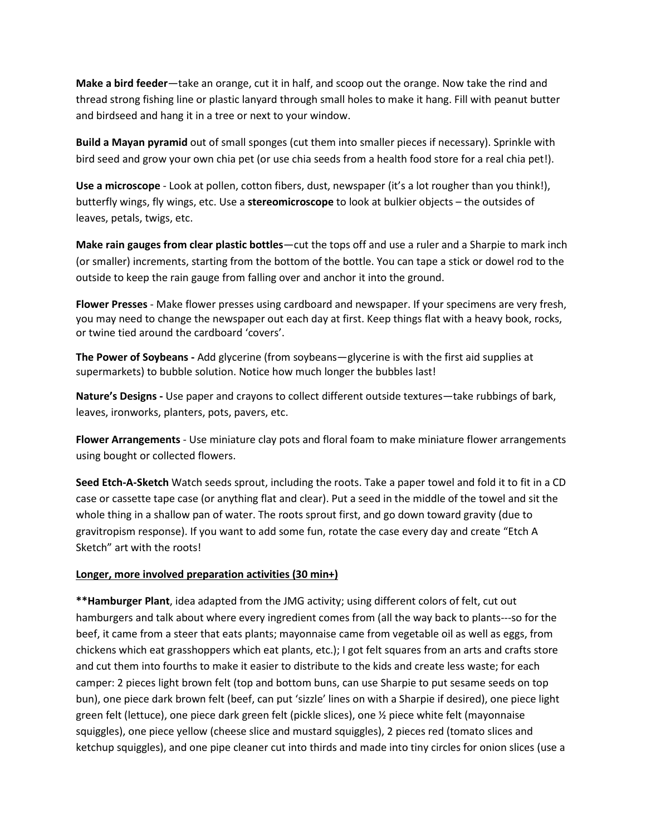**Make a bird feeder**—take an orange, cut it in half, and scoop out the orange. Now take the rind and thread strong fishing line or plastic lanyard through small holes to make it hang. Fill with peanut butter and birdseed and hang it in a tree or next to your window.

**Build a Mayan pyramid** out of small sponges (cut them into smaller pieces if necessary). Sprinkle with bird seed and grow your own chia pet (or use chia seeds from a health food store for a real chia pet!).

**Use a microscope** - Look at pollen, cotton fibers, dust, newspaper (it's a lot rougher than you think!), butterfly wings, fly wings, etc. Use a **stereomicroscope** to look at bulkier objects – the outsides of leaves, petals, twigs, etc.

**Make rain gauges from clear plastic bottles**—cut the tops off and use a ruler and a Sharpie to mark inch (or smaller) increments, starting from the bottom of the bottle. You can tape a stick or dowel rod to the outside to keep the rain gauge from falling over and anchor it into the ground.

**Flower Presses** - Make flower presses using cardboard and newspaper. If your specimens are very fresh, you may need to change the newspaper out each day at first. Keep things flat with a heavy book, rocks, or twine tied around the cardboard 'covers'.

**The Power of Soybeans -** Add glycerine (from soybeans—glycerine is with the first aid supplies at supermarkets) to bubble solution. Notice how much longer the bubbles last!

**Nature's Designs -** Use paper and crayons to collect different outside textures—take rubbings of bark, leaves, ironworks, planters, pots, pavers, etc.

**Flower Arrangements** - Use miniature clay pots and floral foam to make miniature flower arrangements using bought or collected flowers.

**Seed Etch-A-Sketch** Watch seeds sprout, including the roots. Take a paper towel and fold it to fit in a CD case or cassette tape case (or anything flat and clear). Put a seed in the middle of the towel and sit the whole thing in a shallow pan of water. The roots sprout first, and go down toward gravity (due to gravitropism response). If you want to add some fun, rotate the case every day and create "Etch A Sketch" art with the roots!

### **Longer, more involved preparation activities (30 min+)**

**\*\*Hamburger Plant**, idea adapted from the JMG activity; using different colors of felt, cut out hamburgers and talk about where every ingredient comes from (all the way back to plants---so for the beef, it came from a steer that eats plants; mayonnaise came from vegetable oil as well as eggs, from chickens which eat grasshoppers which eat plants, etc.); I got felt squares from an arts and crafts store and cut them into fourths to make it easier to distribute to the kids and create less waste; for each camper: 2 pieces light brown felt (top and bottom buns, can use Sharpie to put sesame seeds on top bun), one piece dark brown felt (beef, can put 'sizzle' lines on with a Sharpie if desired), one piece light green felt (lettuce), one piece dark green felt (pickle slices), one ½ piece white felt (mayonnaise squiggles), one piece yellow (cheese slice and mustard squiggles), 2 pieces red (tomato slices and ketchup squiggles), and one pipe cleaner cut into thirds and made into tiny circles for onion slices (use a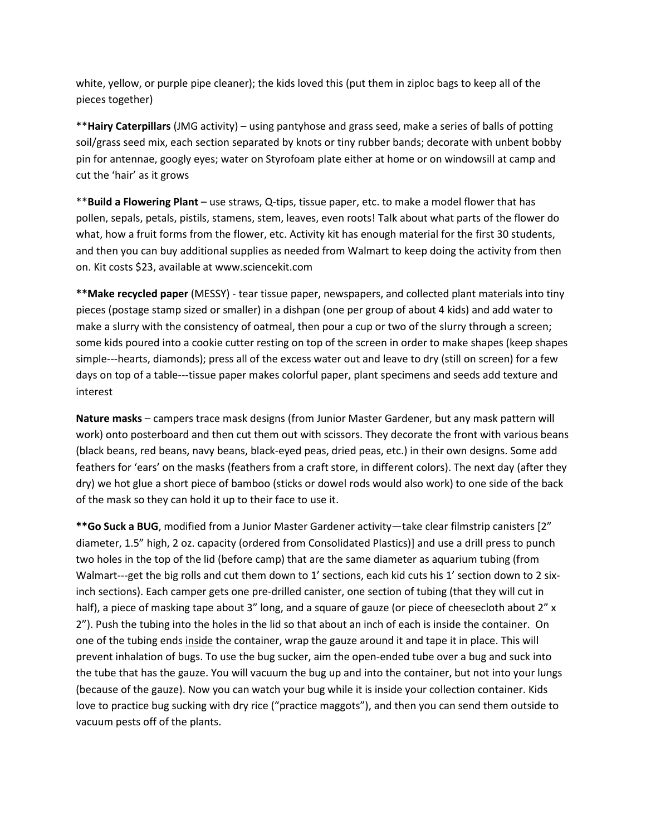white, yellow, or purple pipe cleaner); the kids loved this (put them in ziploc bags to keep all of the pieces together)

\*\***Hairy Caterpillars** (JMG activity) – using pantyhose and grass seed, make a series of balls of potting soil/grass seed mix, each section separated by knots or tiny rubber bands; decorate with unbent bobby pin for antennae, googly eyes; water on Styrofoam plate either at home or on windowsill at camp and cut the 'hair' as it grows

\*\***Build a Flowering Plant** – use straws, Q-tips, tissue paper, etc. to make a model flower that has pollen, sepals, petals, pistils, stamens, stem, leaves, even roots! Talk about what parts of the flower do what, how a fruit forms from the flower, etc. Activity kit has enough material for the first 30 students, and then you can buy additional supplies as needed from Walmart to keep doing the activity from then on. Kit costs \$23, available at www.sciencekit.com

**\*\*Make recycled paper** (MESSY) - tear tissue paper, newspapers, and collected plant materials into tiny pieces (postage stamp sized or smaller) in a dishpan (one per group of about 4 kids) and add water to make a slurry with the consistency of oatmeal, then pour a cup or two of the slurry through a screen; some kids poured into a cookie cutter resting on top of the screen in order to make shapes (keep shapes simple---hearts, diamonds); press all of the excess water out and leave to dry (still on screen) for a few days on top of a table---tissue paper makes colorful paper, plant specimens and seeds add texture and interest

**Nature masks** – campers trace mask designs (from Junior Master Gardener, but any mask pattern will work) onto posterboard and then cut them out with scissors. They decorate the front with various beans (black beans, red beans, navy beans, black-eyed peas, dried peas, etc.) in their own designs. Some add feathers for 'ears' on the masks (feathers from a craft store, in different colors). The next day (after they dry) we hot glue a short piece of bamboo (sticks or dowel rods would also work) to one side of the back of the mask so they can hold it up to their face to use it.

**\*\*Go Suck a BUG**, modified from a Junior Master Gardener activity—take clear filmstrip canisters [2" diameter, 1.5" high, 2 oz. capacity (ordered from Consolidated Plastics)] and use a drill press to punch two holes in the top of the lid (before camp) that are the same diameter as aquarium tubing (from Walmart---get the big rolls and cut them down to 1' sections, each kid cuts his 1' section down to 2 sixinch sections). Each camper gets one pre-drilled canister, one section of tubing (that they will cut in half), a piece of masking tape about 3" long, and a square of gauze (or piece of cheesecloth about 2" x 2"). Push the tubing into the holes in the lid so that about an inch of each is inside the container. On one of the tubing ends inside the container, wrap the gauze around it and tape it in place. This will prevent inhalation of bugs. To use the bug sucker, aim the open-ended tube over a bug and suck into the tube that has the gauze. You will vacuum the bug up and into the container, but not into your lungs (because of the gauze). Now you can watch your bug while it is inside your collection container. Kids love to practice bug sucking with dry rice ("practice maggots"), and then you can send them outside to vacuum pests off of the plants.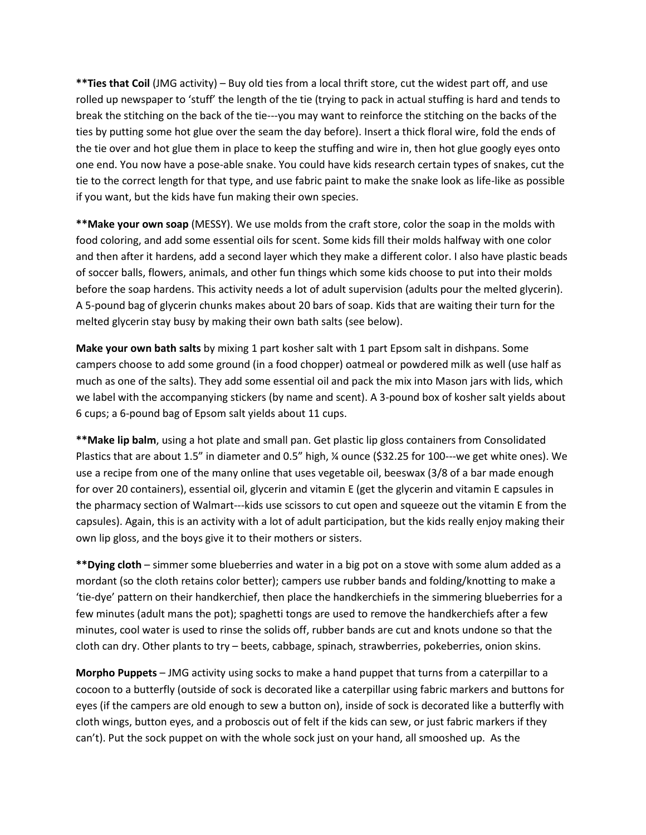**\*\*Ties that Coil** (JMG activity) – Buy old ties from a local thrift store, cut the widest part off, and use rolled up newspaper to 'stuff' the length of the tie (trying to pack in actual stuffing is hard and tends to break the stitching on the back of the tie---you may want to reinforce the stitching on the backs of the ties by putting some hot glue over the seam the day before). Insert a thick floral wire, fold the ends of the tie over and hot glue them in place to keep the stuffing and wire in, then hot glue googly eyes onto one end. You now have a pose-able snake. You could have kids research certain types of snakes, cut the tie to the correct length for that type, and use fabric paint to make the snake look as life-like as possible if you want, but the kids have fun making their own species.

**\*\*Make your own soap** (MESSY). We use molds from the craft store, color the soap in the molds with food coloring, and add some essential oils for scent. Some kids fill their molds halfway with one color and then after it hardens, add a second layer which they make a different color. I also have plastic beads of soccer balls, flowers, animals, and other fun things which some kids choose to put into their molds before the soap hardens. This activity needs a lot of adult supervision (adults pour the melted glycerin). A 5-pound bag of glycerin chunks makes about 20 bars of soap. Kids that are waiting their turn for the melted glycerin stay busy by making their own bath salts (see below).

**Make your own bath salts** by mixing 1 part kosher salt with 1 part Epsom salt in dishpans. Some campers choose to add some ground (in a food chopper) oatmeal or powdered milk as well (use half as much as one of the salts). They add some essential oil and pack the mix into Mason jars with lids, which we label with the accompanying stickers (by name and scent). A 3-pound box of kosher salt yields about 6 cups; a 6-pound bag of Epsom salt yields about 11 cups.

**\*\*Make lip balm**, using a hot plate and small pan. Get plastic lip gloss containers from Consolidated Plastics that are about 1.5" in diameter and 0.5" high, ¼ ounce (\$32.25 for 100---we get white ones). We use a recipe from one of the many online that uses vegetable oil, beeswax (3/8 of a bar made enough for over 20 containers), essential oil, glycerin and vitamin E (get the glycerin and vitamin E capsules in the pharmacy section of Walmart---kids use scissors to cut open and squeeze out the vitamin E from the capsules). Again, this is an activity with a lot of adult participation, but the kids really enjoy making their own lip gloss, and the boys give it to their mothers or sisters.

**\*\*Dying cloth** – simmer some blueberries and water in a big pot on a stove with some alum added as a mordant (so the cloth retains color better); campers use rubber bands and folding/knotting to make a 'tie-dye' pattern on their handkerchief, then place the handkerchiefs in the simmering blueberries for a few minutes (adult mans the pot); spaghetti tongs are used to remove the handkerchiefs after a few minutes, cool water is used to rinse the solids off, rubber bands are cut and knots undone so that the cloth can dry. Other plants to try – beets, cabbage, spinach, strawberries, pokeberries, onion skins.

**Morpho Puppets** – JMG activity using socks to make a hand puppet that turns from a caterpillar to a cocoon to a butterfly (outside of sock is decorated like a caterpillar using fabric markers and buttons for eyes (if the campers are old enough to sew a button on), inside of sock is decorated like a butterfly with cloth wings, button eyes, and a proboscis out of felt if the kids can sew, or just fabric markers if they can't). Put the sock puppet on with the whole sock just on your hand, all smooshed up. As the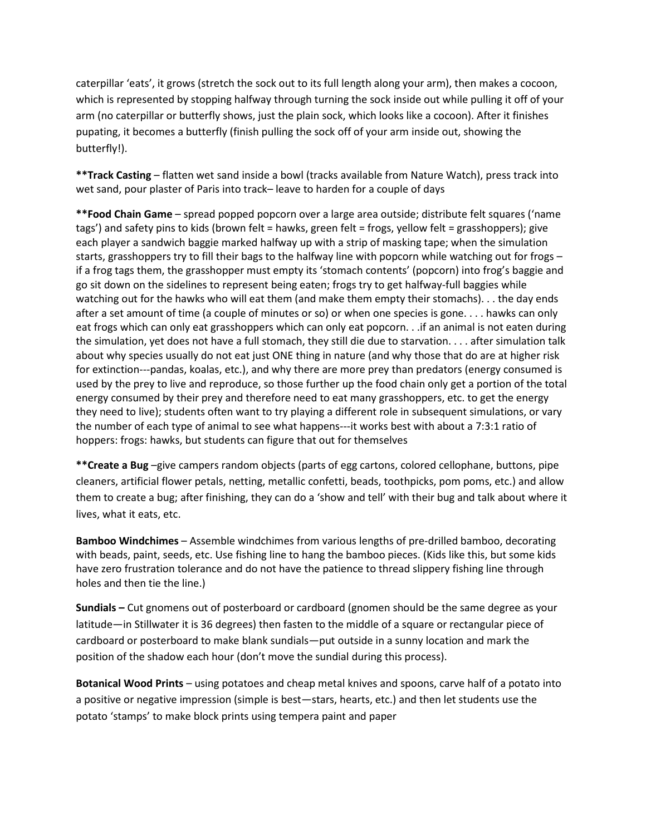caterpillar 'eats', it grows (stretch the sock out to its full length along your arm), then makes a cocoon, which is represented by stopping halfway through turning the sock inside out while pulling it off of your arm (no caterpillar or butterfly shows, just the plain sock, which looks like a cocoon). After it finishes pupating, it becomes a butterfly (finish pulling the sock off of your arm inside out, showing the butterfly!).

**\*\*Track Casting** – flatten wet sand inside a bowl (tracks available from Nature Watch), press track into wet sand, pour plaster of Paris into track– leave to harden for a couple of days

**\*\*Food Chain Game** – spread popped popcorn over a large area outside; distribute felt squares ('name tags') and safety pins to kids (brown felt = hawks, green felt = frogs, yellow felt = grasshoppers); give each player a sandwich baggie marked halfway up with a strip of masking tape; when the simulation starts, grasshoppers try to fill their bags to the halfway line with popcorn while watching out for frogs – if a frog tags them, the grasshopper must empty its 'stomach contents' (popcorn) into frog's baggie and go sit down on the sidelines to represent being eaten; frogs try to get halfway-full baggies while watching out for the hawks who will eat them (and make them empty their stomachs). . . the day ends after a set amount of time (a couple of minutes or so) or when one species is gone. . . . hawks can only eat frogs which can only eat grasshoppers which can only eat popcorn. . .if an animal is not eaten during the simulation, yet does not have a full stomach, they still die due to starvation. . . . after simulation talk about why species usually do not eat just ONE thing in nature (and why those that do are at higher risk for extinction---pandas, koalas, etc.), and why there are more prey than predators (energy consumed is used by the prey to live and reproduce, so those further up the food chain only get a portion of the total energy consumed by their prey and therefore need to eat many grasshoppers, etc. to get the energy they need to live); students often want to try playing a different role in subsequent simulations, or vary the number of each type of animal to see what happens---it works best with about a 7:3:1 ratio of hoppers: frogs: hawks, but students can figure that out for themselves

**\*\*Create a Bug** –give campers random objects (parts of egg cartons, colored cellophane, buttons, pipe cleaners, artificial flower petals, netting, metallic confetti, beads, toothpicks, pom poms, etc.) and allow them to create a bug; after finishing, they can do a 'show and tell' with their bug and talk about where it lives, what it eats, etc.

**Bamboo Windchimes** – Assemble windchimes from various lengths of pre-drilled bamboo, decorating with beads, paint, seeds, etc. Use fishing line to hang the bamboo pieces. (Kids like this, but some kids have zero frustration tolerance and do not have the patience to thread slippery fishing line through holes and then tie the line.)

**Sundials –** Cut gnomens out of posterboard or cardboard (gnomen should be the same degree as your latitude—in Stillwater it is 36 degrees) then fasten to the middle of a square or rectangular piece of cardboard or posterboard to make blank sundials—put outside in a sunny location and mark the position of the shadow each hour (don't move the sundial during this process).

**Botanical Wood Prints** – using potatoes and cheap metal knives and spoons, carve half of a potato into a positive or negative impression (simple is best—stars, hearts, etc.) and then let students use the potato 'stamps' to make block prints using tempera paint and paper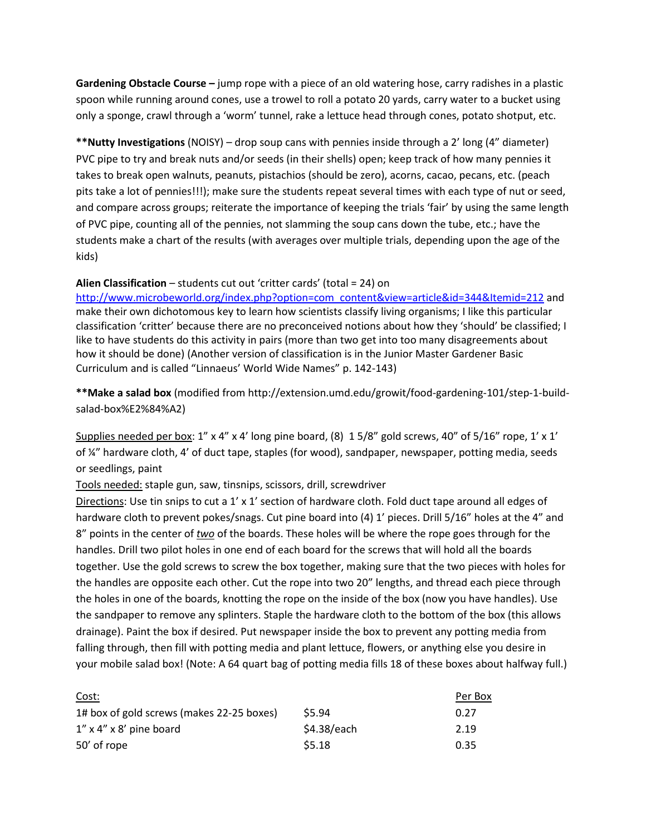**Gardening Obstacle Course –** jump rope with a piece of an old watering hose, carry radishes in a plastic spoon while running around cones, use a trowel to roll a potato 20 yards, carry water to a bucket using only a sponge, crawl through a 'worm' tunnel, rake a lettuce head through cones, potato shotput, etc.

**\*\*Nutty Investigations** (NOISY) – drop soup cans with pennies inside through a 2' long (4" diameter) PVC pipe to try and break nuts and/or seeds (in their shells) open; keep track of how many pennies it takes to break open walnuts, peanuts, pistachios (should be zero), acorns, cacao, pecans, etc. (peach pits take a lot of pennies!!!); make sure the students repeat several times with each type of nut or seed, and compare across groups; reiterate the importance of keeping the trials 'fair' by using the same length of PVC pipe, counting all of the pennies, not slamming the soup cans down the tube, etc.; have the students make a chart of the results (with averages over multiple trials, depending upon the age of the kids)

### **Alien Classification** – students cut out 'critter cards' (total = 24) on

[http://www.microbeworld.org/index.php?option=com\\_content&view=article&id=344&Itemid=212](http://www.microbeworld.org/index.php?option=com_content&view=article&id=344&Itemid=212) and make their own dichotomous key to learn how scientists classify living organisms; I like this particular classification 'critter' because there are no preconceived notions about how they 'should' be classified; I like to have students do this activity in pairs (more than two get into too many disagreements about how it should be done) (Another version of classification is in the Junior Master Gardener Basic Curriculum and is called "Linnaeus' World Wide Names" p. 142-143)

**\*\*Make a salad box** (modified from http://extension.umd.edu/growit/food-gardening-101/step-1-buildsalad-box%E2%84%A2)

Supplies needed per box:  $1''$  x 4" x 4' long pine board, (8)  $15/8''$  gold screws, 40" of  $5/16''$  rope,  $1'$  x  $1'$ of ¼" hardware cloth, 4' of duct tape, staples (for wood), sandpaper, newspaper, potting media, seeds or seedlings, paint

Tools needed: staple gun, saw, tinsnips, scissors, drill, screwdriver

Directions: Use tin snips to cut a 1' x 1' section of hardware cloth. Fold duct tape around all edges of hardware cloth to prevent pokes/snags. Cut pine board into (4) 1' pieces. Drill 5/16" holes at the 4" and 8" points in the center of *two* of the boards. These holes will be where the rope goes through for the handles. Drill two pilot holes in one end of each board for the screws that will hold all the boards together. Use the gold screws to screw the box together, making sure that the two pieces with holes for the handles are opposite each other. Cut the rope into two 20" lengths, and thread each piece through the holes in one of the boards, knotting the rope on the inside of the box (now you have handles). Use the sandpaper to remove any splinters. Staple the hardware cloth to the bottom of the box (this allows drainage). Paint the box if desired. Put newspaper inside the box to prevent any potting media from falling through, then fill with potting media and plant lettuce, flowers, or anything else you desire in your mobile salad box! (Note: A 64 quart bag of potting media fills 18 of these boxes about halfway full.)

| Cost:                                     |                   | Per Box |
|-------------------------------------------|-------------------|---------|
| 1# box of gold screws (makes 22-25 boxes) | S <sub>5.94</sub> | 0.27    |
| $1''$ x 4" x 8' pine board                | \$4.38/each       | 2.19    |
| 50' of rope                               | \$5.18            | 0.35    |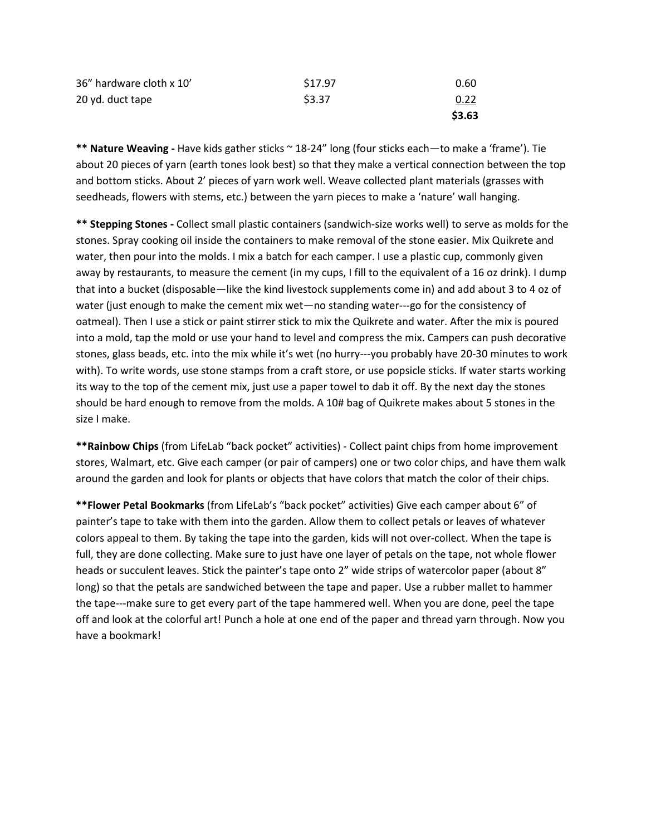| 36" hardware cloth x 10' | \$17.97 | 0.60   |
|--------------------------|---------|--------|
| 20 yd. duct tape         | \$3.37  | 0.22   |
|                          |         | \$3.63 |

**\*\* Nature Weaving -** Have kids gather sticks ~ 18-24" long (four sticks each—to make a 'frame'). Tie about 20 pieces of yarn (earth tones look best) so that they make a vertical connection between the top and bottom sticks. About 2' pieces of yarn work well. Weave collected plant materials (grasses with seedheads, flowers with stems, etc.) between the yarn pieces to make a 'nature' wall hanging.

**\*\* Stepping Stones -** Collect small plastic containers (sandwich-size works well) to serve as molds for the stones. Spray cooking oil inside the containers to make removal of the stone easier. Mix Quikrete and water, then pour into the molds. I mix a batch for each camper. I use a plastic cup, commonly given away by restaurants, to measure the cement (in my cups, I fill to the equivalent of a 16 oz drink). I dump that into a bucket (disposable—like the kind livestock supplements come in) and add about 3 to 4 oz of water (just enough to make the cement mix wet—no standing water---go for the consistency of oatmeal). Then I use a stick or paint stirrer stick to mix the Quikrete and water. After the mix is poured into a mold, tap the mold or use your hand to level and compress the mix. Campers can push decorative stones, glass beads, etc. into the mix while it's wet (no hurry---you probably have 20-30 minutes to work with). To write words, use stone stamps from a craft store, or use popsicle sticks. If water starts working its way to the top of the cement mix, just use a paper towel to dab it off. By the next day the stones should be hard enough to remove from the molds. A 10# bag of Quikrete makes about 5 stones in the size I make.

**\*\*Rainbow Chips** (from LifeLab "back pocket" activities) - Collect paint chips from home improvement stores, Walmart, etc. Give each camper (or pair of campers) one or two color chips, and have them walk around the garden and look for plants or objects that have colors that match the color of their chips.

**\*\*Flower Petal Bookmarks** (from LifeLab's "back pocket" activities) Give each camper about 6" of painter's tape to take with them into the garden. Allow them to collect petals or leaves of whatever colors appeal to them. By taking the tape into the garden, kids will not over-collect. When the tape is full, they are done collecting. Make sure to just have one layer of petals on the tape, not whole flower heads or succulent leaves. Stick the painter's tape onto 2" wide strips of watercolor paper (about 8" long) so that the petals are sandwiched between the tape and paper. Use a rubber mallet to hammer the tape---make sure to get every part of the tape hammered well. When you are done, peel the tape off and look at the colorful art! Punch a hole at one end of the paper and thread yarn through. Now you have a bookmark!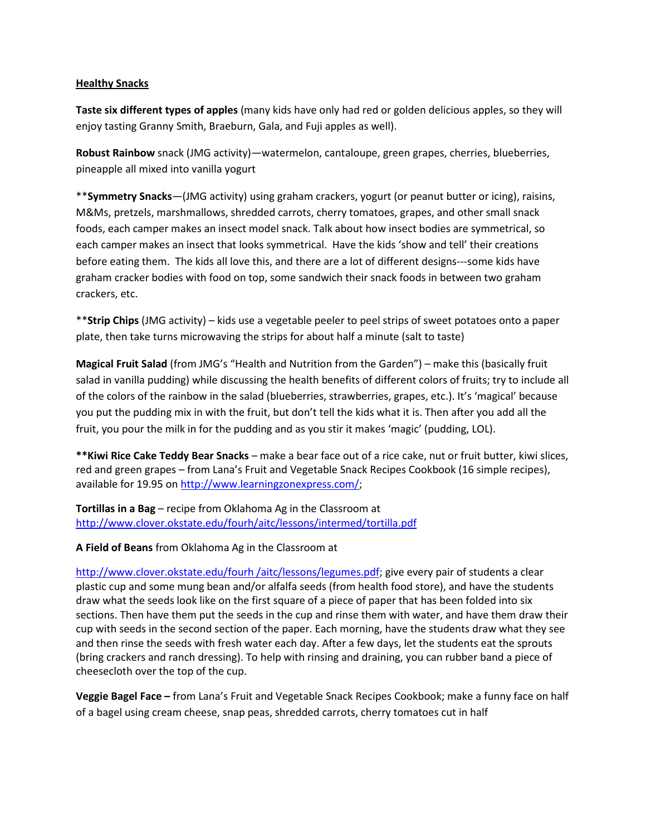### **Healthy Snacks**

**Taste six different types of apples** (many kids have only had red or golden delicious apples, so they will enjoy tasting Granny Smith, Braeburn, Gala, and Fuji apples as well).

**Robust Rainbow** snack (JMG activity)—watermelon, cantaloupe, green grapes, cherries, blueberries, pineapple all mixed into vanilla yogurt

\*\***Symmetry Snacks**—(JMG activity) using graham crackers, yogurt (or peanut butter or icing), raisins, M&Ms, pretzels, marshmallows, shredded carrots, cherry tomatoes, grapes, and other small snack foods, each camper makes an insect model snack. Talk about how insect bodies are symmetrical, so each camper makes an insect that looks symmetrical. Have the kids 'show and tell' their creations before eating them. The kids all love this, and there are a lot of different designs---some kids have graham cracker bodies with food on top, some sandwich their snack foods in between two graham crackers, etc.

\*\***Strip Chips** (JMG activity) – kids use a vegetable peeler to peel strips of sweet potatoes onto a paper plate, then take turns microwaving the strips for about half a minute (salt to taste)

**Magical Fruit Salad** (from JMG's "Health and Nutrition from the Garden") – make this (basically fruit salad in vanilla pudding) while discussing the health benefits of different colors of fruits; try to include all of the colors of the rainbow in the salad (blueberries, strawberries, grapes, etc.). It's 'magical' because you put the pudding mix in with the fruit, but don't tell the kids what it is. Then after you add all the fruit, you pour the milk in for the pudding and as you stir it makes 'magic' (pudding, LOL).

**\*\*Kiwi Rice Cake Teddy Bear Snacks** – make a bear face out of a rice cake, nut or fruit butter, kiwi slices, red and green grapes – from Lana's Fruit and Vegetable Snack Recipes Cookbook (16 simple recipes), available for 19.95 on [http://www.learningzonexpress.com/;](http://www.learningzonexpress.com/)

**Tortillas in a Bag** – recipe from Oklahoma Ag in the Classroom at <http://www.clover.okstate.edu/fourh/aitc/lessons/intermed/tortilla.pdf>

**A Field of Beans** from Oklahoma Ag in the Classroom at

[http://www.clover.okstate.edu/fourh /aitc/lessons/legumes.pdf;](http://www.clover.okstate.edu/fourh%20/aitc/lessons/legumes.pdf) give every pair of students a clear plastic cup and some mung bean and/or alfalfa seeds (from health food store), and have the students draw what the seeds look like on the first square of a piece of paper that has been folded into six sections. Then have them put the seeds in the cup and rinse them with water, and have them draw their cup with seeds in the second section of the paper. Each morning, have the students draw what they see and then rinse the seeds with fresh water each day. After a few days, let the students eat the sprouts (bring crackers and ranch dressing). To help with rinsing and draining, you can rubber band a piece of cheesecloth over the top of the cup.

**Veggie Bagel Face –** from Lana's Fruit and Vegetable Snack Recipes Cookbook; make a funny face on half of a bagel using cream cheese, snap peas, shredded carrots, cherry tomatoes cut in half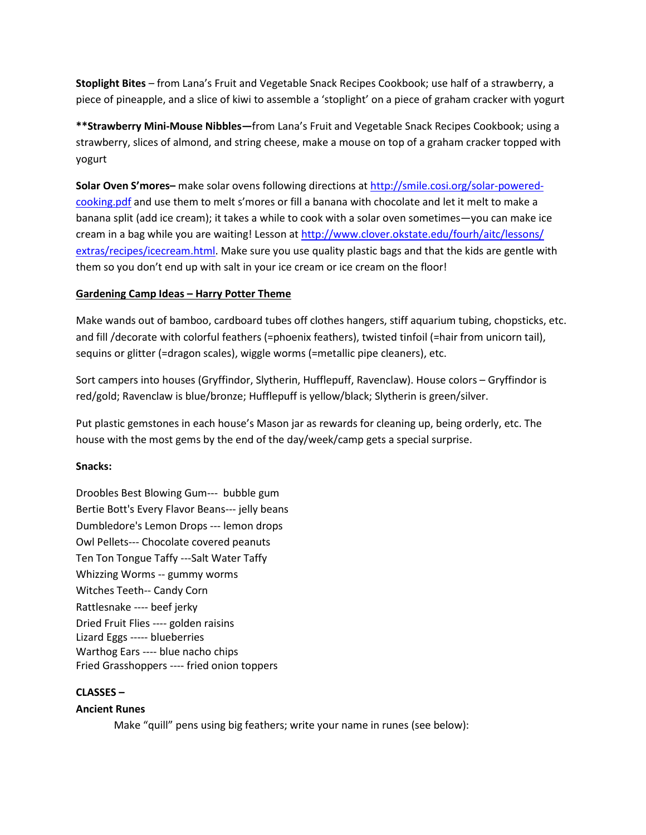**Stoplight Bites** – from Lana's Fruit and Vegetable Snack Recipes Cookbook; use half of a strawberry, a piece of pineapple, and a slice of kiwi to assemble a 'stoplight' on a piece of graham cracker with yogurt

**\*\*Strawberry Mini-Mouse Nibbles—**from Lana's Fruit and Vegetable Snack Recipes Cookbook; using a strawberry, slices of almond, and string cheese, make a mouse on top of a graham cracker topped with yogurt

**Solar Oven S'mores–** make solar ovens following directions at [http://smile.cosi.org/solar-powered](http://smile.cosi.org/solar-powered-cooking.pdf)[cooking.pdf](http://smile.cosi.org/solar-powered-cooking.pdf) and use them to melt s'mores or fill a banana with chocolate and let it melt to make a banana split (add ice cream); it takes a while to cook with a solar oven sometimes—you can make ice cream in a bag while you are waiting! Lesson a[t http://www.clover.okstate.edu/fourh/aitc/lessons/](http://www.clover.okstate.edu/fourh/aitc/lessons/%20extras/recipes/icecream.html)  [extras/recipes/icecream.html.](http://www.clover.okstate.edu/fourh/aitc/lessons/%20extras/recipes/icecream.html) Make sure you use quality plastic bags and that the kids are gentle with them so you don't end up with salt in your ice cream or ice cream on the floor!

# **Gardening Camp Ideas – Harry Potter Theme**

Make wands out of bamboo, cardboard tubes off clothes hangers, stiff aquarium tubing, chopsticks, etc. and fill /decorate with colorful feathers (=phoenix feathers), twisted tinfoil (=hair from unicorn tail), sequins or glitter (=dragon scales), wiggle worms (=metallic pipe cleaners), etc.

Sort campers into houses (Gryffindor, Slytherin, Hufflepuff, Ravenclaw). House colors – Gryffindor is red/gold; Ravenclaw is blue/bronze; Hufflepuff is yellow/black; Slytherin is green/silver.

Put plastic gemstones in each house's Mason jar as rewards for cleaning up, being orderly, etc. The house with the most gems by the end of the day/week/camp gets a special surprise.

### **Snacks:**

Droobles Best Blowing Gum--- bubble gum Bertie Bott's Every Flavor Beans--- jelly beans Dumbledore's Lemon Drops --- lemon drops Owl Pellets--- Chocolate covered peanuts Ten Ton Tongue Taffy ---Salt Water Taffy Whizzing Worms -- gummy worms Witches Teeth-- Candy Corn Rattlesnake ---- beef jerky Dried Fruit Flies ---- golden raisins Lizard Eggs ----- blueberries Warthog Ears ---- blue nacho chips Fried Grasshoppers ---- fried onion toppers

# **CLASSES –**

# **Ancient Runes**

Make "quill" pens using big feathers; write your name in runes (see below):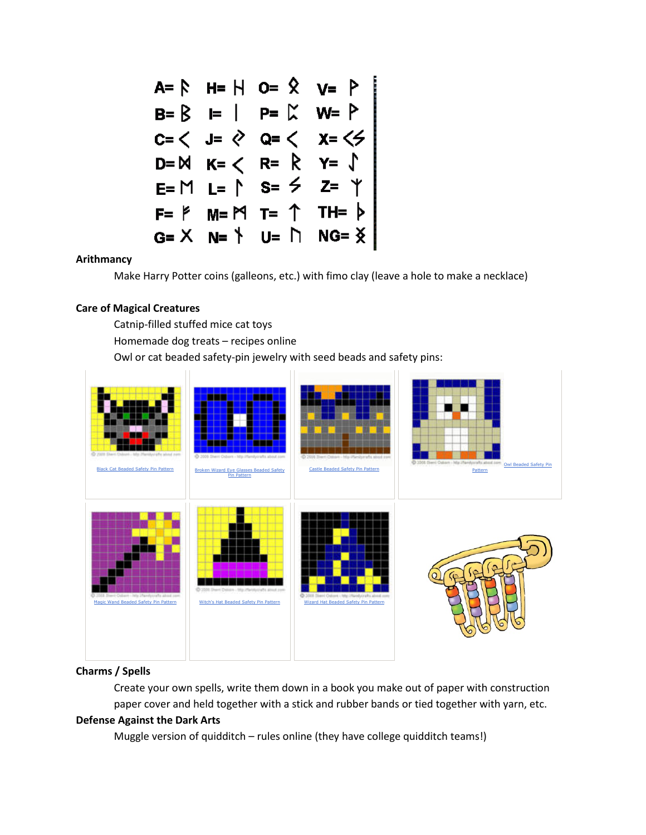

#### **Arithmancy**

Make Harry Potter coins (galleons, etc.) with fimo clay (leave a hole to make a necklace)

#### **Care of Magical Creatures**

Catnip-filled stuffed mice cat toys Homemade dog treats – recipes online Owl or cat beaded safety-pin jewelry with seed beads and safety pins:



### **Charms / Spells**

Create your own spells, write them down in a book you make out of paper with construction paper cover and held together with a stick and rubber bands or tied together with yarn, etc.

### **Defense Against the Dark Arts**

Muggle version of quidditch – rules online (they have college quidditch teams!)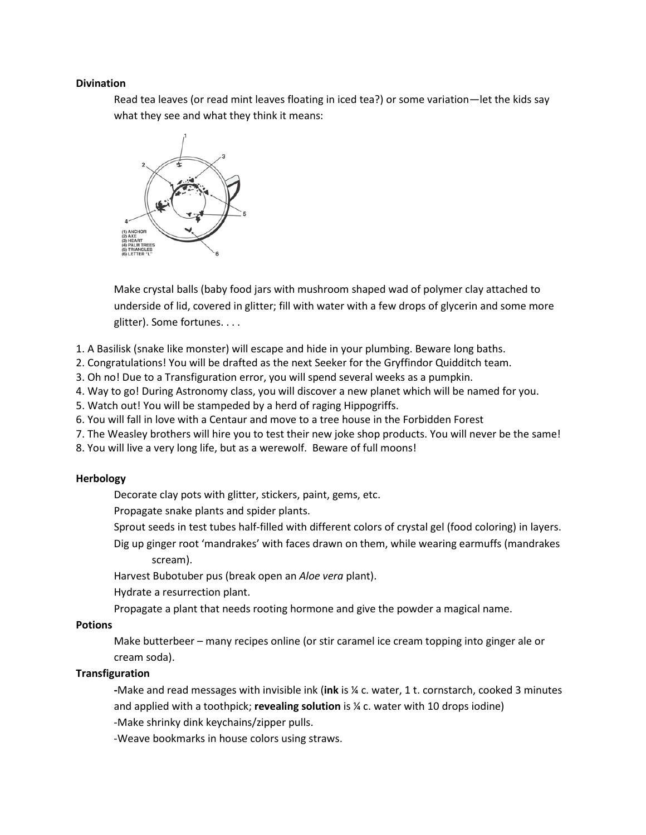#### **Divination**

Read tea leaves (or read mint leaves floating in iced tea?) or some variation—let the kids say what they see and what they think it means:



Make crystal balls (baby food jars with mushroom shaped wad of polymer clay attached to underside of lid, covered in glitter; fill with water with a few drops of glycerin and some more glitter). Some fortunes. . . .

- 1. A Basilisk (snake like monster) will escape and hide in your plumbing. Beware long baths.
- 2. Congratulations! You will be drafted as the next Seeker for the Gryffindor Quidditch team.
- 3. Oh no! Due to a Transfiguration error, you will spend several weeks as a pumpkin.
- 4. Way to go! During Astronomy class, you will discover a new planet which will be named for you.
- 5. Watch out! You will be stampeded by a herd of raging Hippogriffs.
- 6. You will fall in love with a Centaur and move to a tree house in the Forbidden Forest
- 7. The Weasley brothers will hire you to test their new joke shop products. You will never be the same!
- 8. You will live a very long life, but as a werewolf. Beware of full moons!

#### **Herbology**

Decorate clay pots with glitter, stickers, paint, gems, etc.

Propagate snake plants and spider plants.

- Sprout seeds in test tubes half-filled with different colors of crystal gel (food coloring) in layers.
- Dig up ginger root 'mandrakes' with faces drawn on them, while wearing earmuffs (mandrakes scream).

Harvest Bubotuber pus (break open an *Aloe vera* plant).

Hydrate a resurrection plant.

Propagate a plant that needs rooting hormone and give the powder a magical name.

#### **Potions**

Make butterbeer – many recipes online (or stir caramel ice cream topping into ginger ale or cream soda).

#### **Transfiguration**

**-**Make and read messages with invisible ink (**ink** is ¼ c. water, 1 t. cornstarch, cooked 3 minutes and applied with a toothpick; **revealing solution** is ¼ c. water with 10 drops iodine) -Make shrinky dink keychains/zipper pulls.

-Weave bookmarks in house colors using straws.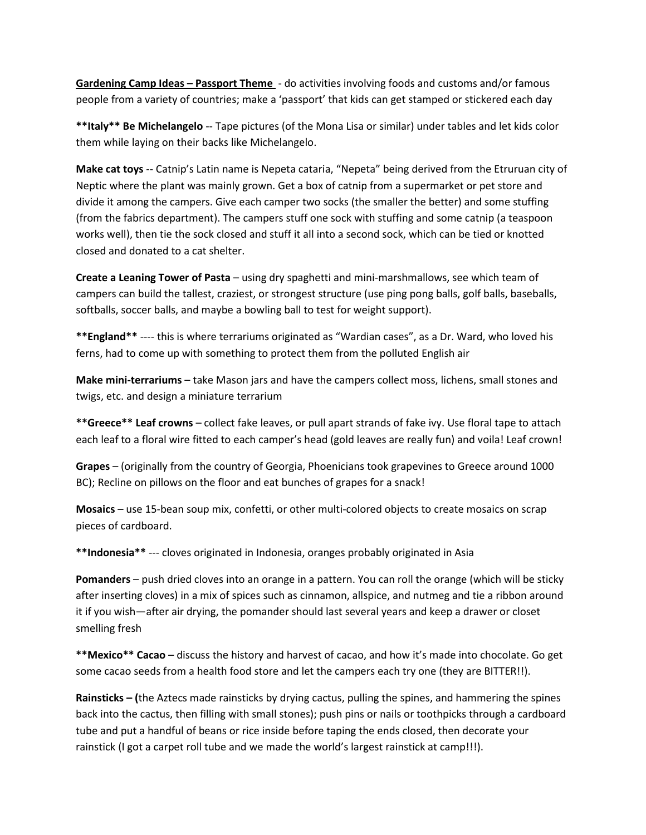**Gardening Camp Ideas – Passport Theme** - do activities involving foods and customs and/or famous people from a variety of countries; make a 'passport' that kids can get stamped or stickered each day

**\*\*Italy\*\* Be Michelangelo** -- Tape pictures (of the Mona Lisa or similar) under tables and let kids color them while laying on their backs like Michelangelo.

**Make cat toys** -- Catnip's Latin name is Nepeta cataria, "Nepeta" being derived from the Etruruan city of Neptic where the plant was mainly grown. Get a box of catnip from a supermarket or pet store and divide it among the campers. Give each camper two socks (the smaller the better) and some stuffing (from the fabrics department). The campers stuff one sock with stuffing and some catnip (a teaspoon works well), then tie the sock closed and stuff it all into a second sock, which can be tied or knotted closed and donated to a cat shelter.

**Create a Leaning Tower of Pasta** – using dry spaghetti and mini-marshmallows, see which team of campers can build the tallest, craziest, or strongest structure (use ping pong balls, golf balls, baseballs, softballs, soccer balls, and maybe a bowling ball to test for weight support).

**\*\*England\*\*** ---- this is where terrariums originated as "Wardian cases", as a Dr. Ward, who loved his ferns, had to come up with something to protect them from the polluted English air

**Make mini-terrariums** – take Mason jars and have the campers collect moss, lichens, small stones and twigs, etc. and design a miniature terrarium

**\*\*Greece\*\* Leaf crowns** – collect fake leaves, or pull apart strands of fake ivy. Use floral tape to attach each leaf to a floral wire fitted to each camper's head (gold leaves are really fun) and voila! Leaf crown!

**Grapes** – (originally from the country of Georgia, Phoenicians took grapevines to Greece around 1000 BC); Recline on pillows on the floor and eat bunches of grapes for a snack!

**Mosaics** – use 15-bean soup mix, confetti, or other multi-colored objects to create mosaics on scrap pieces of cardboard.

**\*\*Indonesia\*\*** --- cloves originated in Indonesia, oranges probably originated in Asia

**Pomanders** – push dried cloves into an orange in a pattern. You can roll the orange (which will be sticky after inserting cloves) in a mix of spices such as cinnamon, allspice, and nutmeg and tie a ribbon around it if you wish—after air drying, the pomander should last several years and keep a drawer or closet smelling fresh

**\*\*Mexico\*\* Cacao** – discuss the history and harvest of cacao, and how it's made into chocolate. Go get some cacao seeds from a health food store and let the campers each try one (they are BITTER!!).

**Rainsticks – (**the Aztecs made rainsticks by drying cactus, pulling the spines, and hammering the spines back into the cactus, then filling with small stones); push pins or nails or toothpicks through a cardboard tube and put a handful of beans or rice inside before taping the ends closed, then decorate your rainstick (I got a carpet roll tube and we made the world's largest rainstick at camp!!!).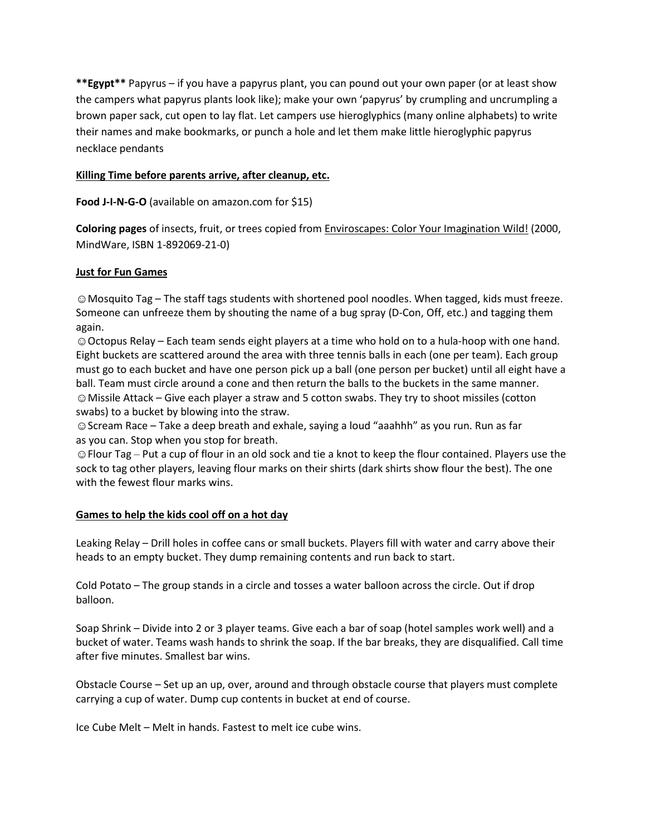**\*\*Egypt\*\*** Papyrus – if you have a papyrus plant, you can pound out your own paper (or at least show the campers what papyrus plants look like); make your own 'papyrus' by crumpling and uncrumpling a brown paper sack, cut open to lay flat. Let campers use hieroglyphics (many online alphabets) to write their names and make bookmarks, or punch a hole and let them make little hieroglyphic papyrus necklace pendants

## **Killing Time before parents arrive, after cleanup, etc.**

**Food J-I-N-G-O** (available on amazon.com for \$15)

**Coloring pages** of insects, fruit, or trees copied from Enviroscapes: Color Your Imagination Wild! (2000, MindWare, ISBN 1-892069-21-0)

### **Just for Fun Games**

☺Mosquito Tag – The staff tags students with shortened pool noodles. When tagged, kids must freeze. Someone can unfreeze them by shouting the name of a bug spray (D-Con, Off, etc.) and tagging them again.

☺Octopus Relay – Each team sends eight players at a time who hold on to a hula-hoop with one hand. Eight buckets are scattered around the area with three tennis balls in each (one per team). Each group must go to each bucket and have one person pick up a ball (one person per bucket) until all eight have a ball. Team must circle around a cone and then return the balls to the buckets in the same manner. ☺Missile Attack – Give each player a straw and 5 cotton swabs. They try to shoot missiles (cotton swabs) to a bucket by blowing into the straw.

☺Scream Race – Take a deep breath and exhale, saying a loud "aaahhh" as you run. Run as far as you can. Stop when you stop for breath.

☺Flour Tag – Put a cup of flour in an old sock and tie a knot to keep the flour contained. Players use the sock to tag other players, leaving flour marks on their shirts (dark shirts show flour the best). The one with the fewest flour marks wins.

### **Games to help the kids cool off on a hot day**

Leaking Relay – Drill holes in coffee cans or small buckets. Players fill with water and carry above their heads to an empty bucket. They dump remaining contents and run back to start.

Cold Potato – The group stands in a circle and tosses a water balloon across the circle. Out if drop balloon.

Soap Shrink – Divide into 2 or 3 player teams. Give each a bar of soap (hotel samples work well) and a bucket of water. Teams wash hands to shrink the soap. If the bar breaks, they are disqualified. Call time after five minutes. Smallest bar wins.

Obstacle Course – Set up an up, over, around and through obstacle course that players must complete carrying a cup of water. Dump cup contents in bucket at end of course.

Ice Cube Melt – Melt in hands. Fastest to melt ice cube wins.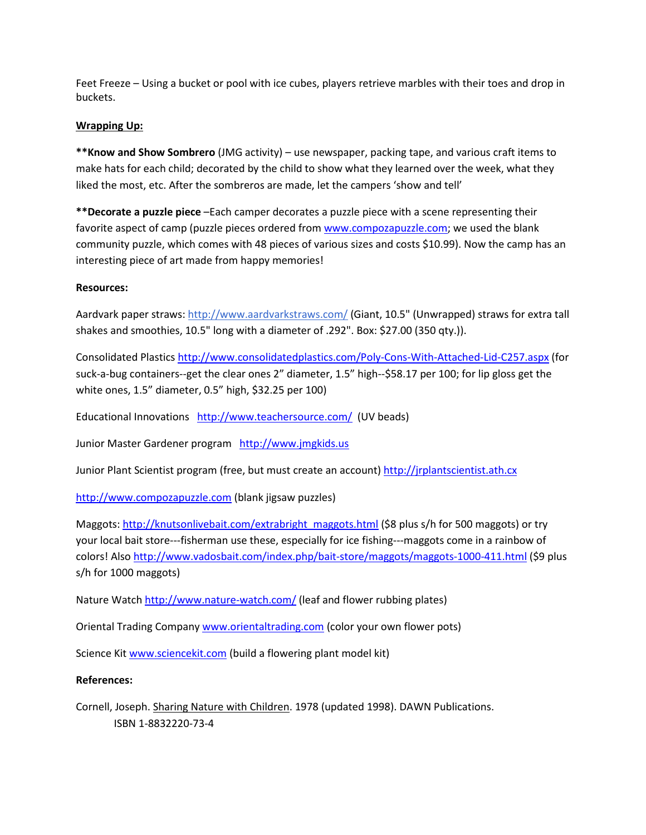Feet Freeze – Using a bucket or pool with ice cubes, players retrieve marbles with their toes and drop in buckets.

### **Wrapping Up:**

**\*\*Know and Show Sombrero** (JMG activity) – use newspaper, packing tape, and various craft items to make hats for each child; decorated by the child to show what they learned over the week, what they liked the most, etc. After the sombreros are made, let the campers 'show and tell'

**\*\*Decorate a puzzle piece** –Each camper decorates a puzzle piece with a scene representing their favorite aspect of camp (puzzle pieces ordered from [www.compozapuzzle.com;](http://www.compozapuzzle.com/) we used the blank community puzzle, which comes with 48 pieces of various sizes and costs \$10.99). Now the camp has an interesting piece of art made from happy memories!

# **Resources:**

Aardvark paper straws:<http://www.aardvarkstraws.com/> (Giant, 10.5" (Unwrapped) straws for extra tall shakes and smoothies, 10.5" long with a diameter of .292". Box: \$27.00 (350 qty.)).

Consolidated Plastic[s http://www.consolidatedplastics.com/Poly-Cons-With-Attached-Lid-C257.aspx](http://www.consolidatedplastics.com/Poly-Cons-With-Attached-Lid-C257.aspx) (for suck-a-bug containers--get the clear ones 2" diameter, 1.5" high--\$58.17 per 100; for lip gloss get the white ones, 1.5" diameter, 0.5" high, \$32.25 per 100)

Educational Innovations <http://www.teachersource.com/>(UV beads)

Junior Master Gardener program [http://www.jmgkids.us](http://www.jmgkids.us/)

Junior Plant Scientist program (free, but must create an account[\) http://jrplantscientist.ath.cx](http://jrplantscientist.ath.cx/)

[http://www.compozapuzzle.com](http://www.compozapuzzle.com/) (blank jigsaw puzzles)

Maggots: [http://knutsonlivebait.com/extrabright\\_maggots.html](http://knutsonlivebait.com/extrabright_maggots.html) (\$8 plus s/h for 500 maggots) or try your local bait store---fisherman use these, especially for ice fishing---maggots come in a rainbow of colors! Als[o http://www.vadosbait.com/index.php/bait-store/maggots/maggots-1000-411.html](http://www.vadosbait.com/index.php/bait-store/maggots/maggots-1000-411.html) (\$9 plus s/h for 1000 maggots)

Nature Watch<http://www.nature-watch.com/> (leaf and flower rubbing plates)

Oriental Trading Company [www.orientaltrading.com](http://www.orientaltrading.com/) (color your own flower pots)

Science Ki[t www.sciencekit.com](http://www.sciencekit.com/) (build a flowering plant model kit)

### **References:**

Cornell, Joseph. Sharing Nature with Children. 1978 (updated 1998). DAWN Publications. ISBN 1-8832220-73-4